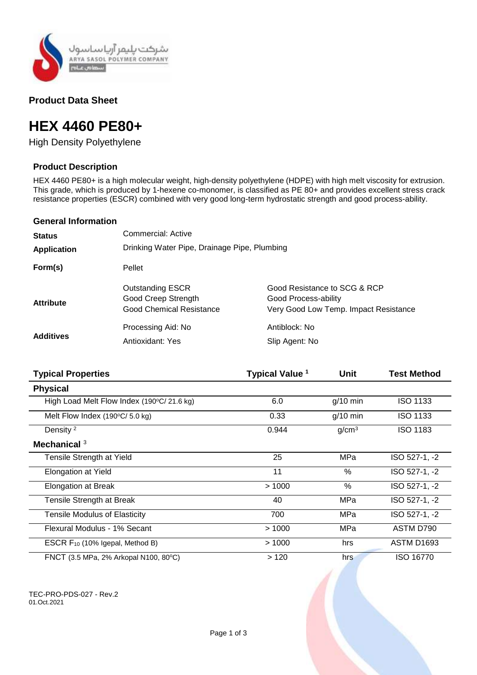

# **Product Data Sheet**

# **HEX 4460 PE80+**

High Density Polyethylene

## **Product Description**

HEX 4460 PE80+ is a high molecular weight, high-density polyethylene (HDPE) with high melt viscosity for extrusion. This grade, which is produced by 1-hexene co-monomer, is classified as PE 80+ and provides excellent stress crack resistance properties (ESCR) combined with very good long-term hydrostatic strength and good process-ability.

### **General Information**

| <b>Status</b>      | Commercial: Active                                                                |                                                                                               |  |
|--------------------|-----------------------------------------------------------------------------------|-----------------------------------------------------------------------------------------------|--|
| <b>Application</b> | Drinking Water Pipe, Drainage Pipe, Plumbing                                      |                                                                                               |  |
| Form(s)            | Pellet                                                                            |                                                                                               |  |
| <b>Attribute</b>   | <b>Outstanding ESCR</b><br>Good Creep Strength<br><b>Good Chemical Resistance</b> | Good Resistance to SCG & RCP<br>Good Process-ability<br>Very Good Low Temp. Impact Resistance |  |
| <b>Additives</b>   | Processing Aid: No<br><b>Antioxidant: Yes</b>                                     | Antiblock: No<br>Slip Agent: No                                                               |  |

| <b>Typical Properties</b>                        | Typical Value <sup>1</sup> | Unit              | <b>Test Method</b> |
|--------------------------------------------------|----------------------------|-------------------|--------------------|
| <b>Physical</b>                                  |                            |                   |                    |
| High Load Melt Flow Index (190°C/21.6 kg)        | 6.0                        | $g/10$ min        | <b>ISO 1133</b>    |
| Melt Flow Index $(190^{\circ}C/ 5.0 \text{ kg})$ | 0.33                       | $g/10$ min        | <b>ISO 1133</b>    |
| Density <sup>2</sup>                             | 0.944                      | g/cm <sup>3</sup> | <b>ISO 1183</b>    |
| Mechanical $3$                                   |                            |                   |                    |
| Tensile Strength at Yield                        | 25                         | MPa               | ISO 527-1, -2      |
| <b>Elongation at Yield</b>                       | 11                         | $\%$              | ISO 527-1, -2      |
| <b>Elongation at Break</b>                       | >1000                      | $\%$              | ISO 527-1, -2      |
| Tensile Strength at Break                        | 40                         | MPa               | ISO 527-1, -2      |
| <b>Tensile Modulus of Elasticity</b>             | 700                        | MPa               | ISO 527-1, -2      |
| Flexural Modulus - 1% Secant                     | >1000                      | MPa               | ASTM D790          |
| ESCR F <sub>10</sub> (10% Igepal, Method B)      | >1000                      | hrs               | <b>ASTM D1693</b>  |
| FNCT (3.5 MPa, 2% Arkopal N100, 80°C)            | >120                       | hrs               | ISO 16770          |

TEC-PRO-PDS-027 - Rev.2 01.Oct.2021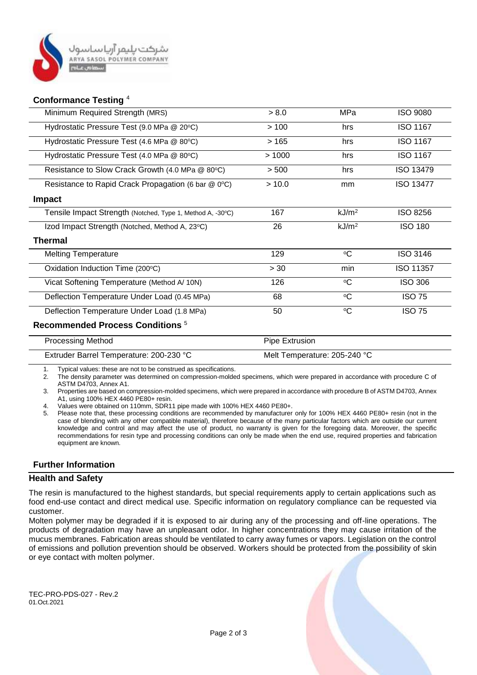

### **Conformance Testing** <sup>4</sup>

| Minimum Required Strength (MRS)                            | > 8.0 | MPa               | <b>ISO 9080</b>  |  |  |
|------------------------------------------------------------|-------|-------------------|------------------|--|--|
| Hydrostatic Pressure Test (9.0 MPa @ 20°C)                 | >100  | hrs               | <b>ISO 1167</b>  |  |  |
| Hydrostatic Pressure Test (4.6 MPa @ 80°C)                 | >165  | hrs               | <b>ISO 1167</b>  |  |  |
| Hydrostatic Pressure Test (4.0 MPa @ 80°C)                 | >1000 | hrs               | <b>ISO 1167</b>  |  |  |
| Resistance to Slow Crack Growth (4.0 MPa @ 80°C)           | > 500 | hrs               | <b>ISO 13479</b> |  |  |
| Resistance to Rapid Crack Propagation (6 bar @ 0°C)        | >10.0 | mm                | <b>ISO 13477</b> |  |  |
| <b>Impact</b>                                              |       |                   |                  |  |  |
| Tensile Impact Strength (Notched, Type 1, Method A, -30°C) | 167   | kJ/m <sup>2</sup> | <b>ISO 8256</b>  |  |  |
| Izod Impact Strength (Notched, Method A, 23°C)             | 26    | kJ/m <sup>2</sup> | <b>ISO 180</b>   |  |  |
| <b>Thermal</b>                                             |       |                   |                  |  |  |
| <b>Melting Temperature</b>                                 | 129   | $\rm ^{o}C$       | <b>ISO 3146</b>  |  |  |
| Oxidation Induction Time (200°C)                           | > 30  | min               | ISO 11357        |  |  |
| Vicat Softening Temperature (Method A/ 10N)                | 126   | $\rm ^{o}C$       | <b>ISO 306</b>   |  |  |
| Deflection Temperature Under Load (0.45 MPa)               | 68    | $\rm ^{o}C$       | <b>ISO 75</b>    |  |  |
| Deflection Temperature Under Load (1.8 MPa)                | 50    | $\rm ^{o}C$       | <b>ISO 75</b>    |  |  |
| Recommended Process Conditions <sup>5</sup>                |       |                   |                  |  |  |
|                                                            |       |                   |                  |  |  |

| <b>Processing Method</b>                | Pipe Extrusion               |
|-----------------------------------------|------------------------------|
| Extruder Barrel Temperature: 200-230 °C | Melt Temperature: 205-240 °C |

1. Typical values: these are not to be construed as specifications.

2. The density parameter was determined on compression-molded specimens, which were prepared in accordance with procedure C of ASTM D4703, Annex A1.

3. Properties are based on compression-molded specimens, which were prepared in accordance with procedure B of ASTM D4703, Annex A1, using 100% HEX 4460 PE80+ resin.

4. Values were obtained on 110mm, SDR11 pipe made with 100% HEX 4460 PE80+.

5. Please note that, these processing conditions are recommended by manufacturer only for 100% HEX 4460 PE80+ resin (not in the case of blending with any other compatible material), therefore because of the many particular factors which are outside our current knowledge and control and may affect the use of product, no warranty is given for the foregoing data. Moreover, the specific recommendations for resin type and processing conditions can only be made when the end use, required properties and fabrication equipment are known.

# **Further Information**

## **Health and Safety**

The resin is manufactured to the highest standards, but special requirements apply to certain applications such as food end-use contact and direct medical use. Specific information on regulatory compliance can be requested via customer.

Molten polymer may be degraded if it is exposed to air during any of the processing and off-line operations. The products of degradation may have an unpleasant odor. In higher concentrations they may cause irritation of the mucus membranes. Fabrication areas should be ventilated to carry away fumes or vapors. Legislation on the control of emissions and pollution prevention should be observed. Workers should be protected from the possibility of skin or eye contact with molten polymer.